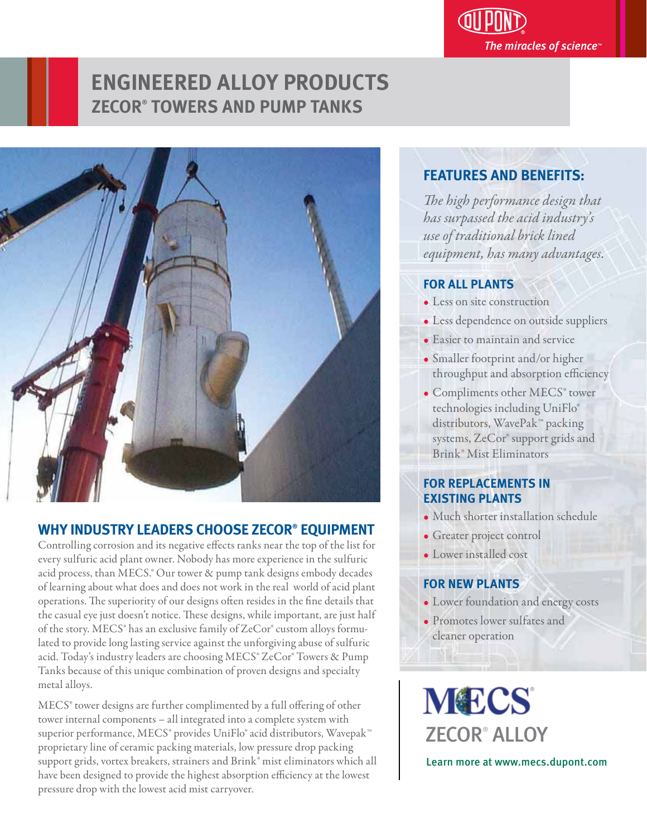# **ENGINEERED ALLOY PRODUCTS ZECOR® TOWERS AND PUMP TANKS**



# **WHY INDUSTRY LEADERS CHOOSE ZECOR® EQUIPMENT**

Controlling corrosion and its negative effects ranks near the top of the list for every sulfuric acid plant owner. Nobody has more experience in the sulfuric acid process, than MECS.® Our tower & pump tank designs embody decades of learning about what does and does not work in the real world of acid plant operations. The superiority of our designs often resides in the fine details that the casual eye just doesn't notice. These designs, while important, are just half of the story. MECS® has an exclusive family of ZeCor® custom alloys formulated to provide long lasting service against the unforgiving abuse of sulfuric acid. Today's industry leaders are choosing MECS® ZeCor® Towers & Pump Tanks because of this unique combination of proven designs and specialty metal alloys.

MECS<sup>®</sup> tower designs are further complimented by a full offering of other tower internal components – all integrated into a complete system with superior performance, MECS® provides UniFlo® acid distributors, Wavepak™ proprietary line of ceramic packing materials, low pressure drop packing support grids, vortex breakers, strainers and Brink® mist eliminators which all have been designed to provide the highest absorption efficiency at the lowest pressure drop with the lowest acid mist carryover.

#### **FEATURES AND BENEFITS:** י

*e high performance design that has surpassed the acid industry's use of traditional brick lined equipment, has many advantages.* 

The miracles of science $\mathbb P$ 

## **FOR ALL PLANTS**

- Less on site construction
- Less dependence on outside suppliers
- Easier to maintain and service
- Smaller footprint and/or higher throughput and absorption efficiency
- Compliments other MECS<sup>®</sup> tower technologies including UniFlo® distributors, WavePak™ packing systems, ZeCor® support grids and Brink® Mist Eliminators

# **FOR REPLACEMENTS IN EXISTING PLANTS**

- Much shorter installation schedule
- Greater project control
- Lower installed cost

## **FOR NEW PLANTS**

- Lower foundation and energy costs
- Promotes lower sulfates and cleaner operation

**MECS** ZECOR® ALLOY Learn more at www.mecs.dupont.com